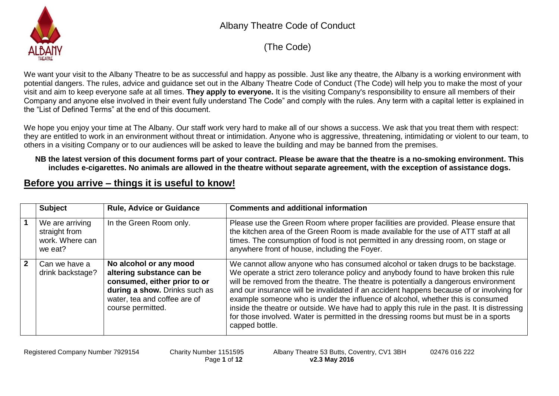

(The Code)

We want your visit to the Albany Theatre to be as successful and happy as possible. Just like any theatre, the Albany is a working environment with potential dangers. The rules, advice and guidance set out in the Albany Theatre Code of Conduct (The Code) will help you to make the most of your visit and aim to keep everyone safe at all times. **They apply to everyone.** It is the visiting Company's responsibility to ensure all members of their Company and anyone else involved in their event fully understand The Code" and comply with the rules. Any term with a capital letter is explained in the "List of Defined Terms" at the end of this document.

We hope you enjoy your time at The Albany. Our staff work very hard to make all of our shows a success. We ask that you treat them with respect: they are entitled to work in an environment without threat or intimidation. Anyone who is aggressive, threatening, intimidating or violent to our team, to others in a visiting Company or to our audiences will be asked to leave the building and may be banned from the premises.

#### **NB the latest version of this document forms part of your contract. Please be aware that the theatre is a no-smoking environment. This includes e-cigarettes. No animals are allowed in the theatre without separate agreement, with the exception of assistance dogs.**

#### **Before you arrive – things it is useful to know!**

|              | <b>Subject</b>                                                 | <b>Rule, Advice or Guidance</b>                                                                                                                                           | <b>Comments and additional information</b>                                                                                                                                                                                                                                                                                                                                                                                                                                                                                                                                                                                                               |
|--------------|----------------------------------------------------------------|---------------------------------------------------------------------------------------------------------------------------------------------------------------------------|----------------------------------------------------------------------------------------------------------------------------------------------------------------------------------------------------------------------------------------------------------------------------------------------------------------------------------------------------------------------------------------------------------------------------------------------------------------------------------------------------------------------------------------------------------------------------------------------------------------------------------------------------------|
|              | We are arriving<br>straight from<br>work. Where can<br>we eat? | In the Green Room only.                                                                                                                                                   | Please use the Green Room where proper facilities are provided. Please ensure that<br>the kitchen area of the Green Room is made available for the use of ATT staff at all<br>times. The consumption of food is not permitted in any dressing room, on stage or<br>anywhere front of house, including the Foyer.                                                                                                                                                                                                                                                                                                                                         |
| $\mathbf{2}$ | Can we have a<br>drink backstage?                              | No alcohol or any mood<br>altering substance can be<br>consumed, either prior to or<br>during a show. Drinks such as<br>water, tea and coffee are of<br>course permitted. | We cannot allow anyone who has consumed alcohol or taken drugs to be backstage.<br>We operate a strict zero tolerance policy and anybody found to have broken this rule<br>will be removed from the theatre. The theatre is potentially a dangerous environment<br>and our insurance will be invalidated if an accident happens because of or involving for<br>example someone who is under the influence of alcohol, whether this is consumed<br>inside the theatre or outside. We have had to apply this rule in the past. It is distressing<br>for those involved. Water is permitted in the dressing rooms but must be in a sports<br>capped bottle. |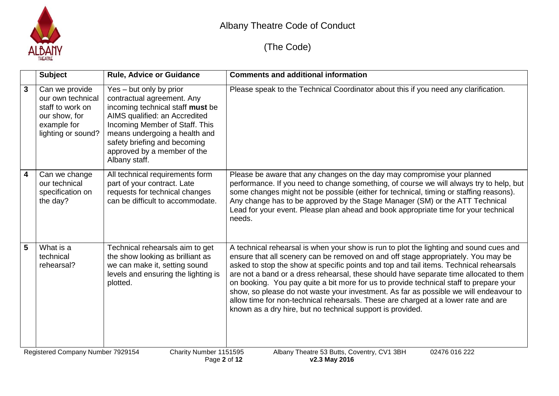

|                         | <b>Subject</b>                                                                                                                                              | <b>Rule, Advice or Guidance</b>                                                                                                                                                                                                                                               | <b>Comments and additional information</b>                                                                                                                                                                                                                                                                                                                                                                                                                                                                                                                                                                                                                                                             |  |
|-------------------------|-------------------------------------------------------------------------------------------------------------------------------------------------------------|-------------------------------------------------------------------------------------------------------------------------------------------------------------------------------------------------------------------------------------------------------------------------------|--------------------------------------------------------------------------------------------------------------------------------------------------------------------------------------------------------------------------------------------------------------------------------------------------------------------------------------------------------------------------------------------------------------------------------------------------------------------------------------------------------------------------------------------------------------------------------------------------------------------------------------------------------------------------------------------------------|--|
| $\mathbf{3}$            | Can we provide<br>our own technical<br>staff to work on<br>our show, for<br>example for<br>lighting or sound?                                               | Yes - but only by prior<br>contractual agreement. Any<br>incoming technical staff must be<br>AIMS qualified: an Accredited<br>Incoming Member of Staff. This<br>means undergoing a health and<br>safety briefing and becoming<br>approved by a member of the<br>Albany staff. | Please speak to the Technical Coordinator about this if you need any clarification.                                                                                                                                                                                                                                                                                                                                                                                                                                                                                                                                                                                                                    |  |
| $\overline{\mathbf{4}}$ | Can we change<br>our technical<br>specification on<br>the day?                                                                                              | All technical requirements form<br>part of your contract. Late<br>requests for technical changes<br>can be difficult to accommodate.                                                                                                                                          | Please be aware that any changes on the day may compromise your planned<br>performance. If you need to change something, of course we will always try to help, but<br>some changes might not be possible (either for technical, timing or staffing reasons).<br>Any change has to be approved by the Stage Manager (SM) or the ATT Technical<br>Lead for your event. Please plan ahead and book appropriate time for your technical<br>needs.                                                                                                                                                                                                                                                          |  |
| $5\phantom{1}$          | What is a<br>technical<br>rehearsal?                                                                                                                        | Technical rehearsals aim to get<br>the show looking as brilliant as<br>we can make it, setting sound<br>levels and ensuring the lighting is<br>plotted.                                                                                                                       | A technical rehearsal is when your show is run to plot the lighting and sound cues and<br>ensure that all scenery can be removed on and off stage appropriately. You may be<br>asked to stop the show at specific points and top and tail items. Technical rehearsals<br>are not a band or a dress rehearsal, these should have separate time allocated to them<br>on booking. You pay quite a bit more for us to provide technical staff to prepare your<br>show, so please do not waste your investment. As far as possible we will endeavour to<br>allow time for non-technical rehearsals. These are charged at a lower rate and are<br>known as a dry hire, but no technical support is provided. |  |
|                         | Albany Theatre 53 Butts, Coventry, CV1 3BH<br>Registered Company Number 7929154<br>Charity Number 1151595<br>02476 016 222<br>Page 2 of 12<br>v2.3 May 2016 |                                                                                                                                                                                                                                                                               |                                                                                                                                                                                                                                                                                                                                                                                                                                                                                                                                                                                                                                                                                                        |  |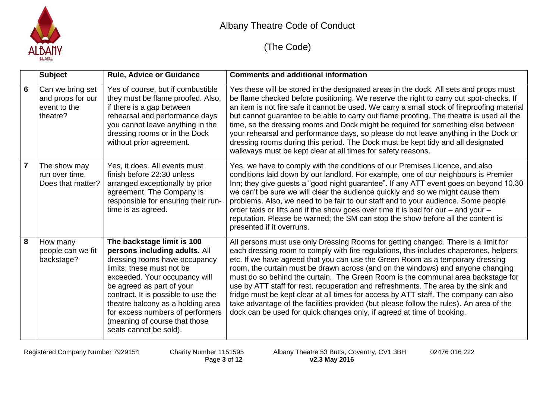

|   | <b>Subject</b>                                                    | <b>Rule, Advice or Guidance</b>                                                                                                                                                                                                                                                                                                                                    | <b>Comments and additional information</b>                                                                                                                                                                                                                                                                                                                                                                                                                                                                                                                                                                                                                                                                                                                                              |
|---|-------------------------------------------------------------------|--------------------------------------------------------------------------------------------------------------------------------------------------------------------------------------------------------------------------------------------------------------------------------------------------------------------------------------------------------------------|-----------------------------------------------------------------------------------------------------------------------------------------------------------------------------------------------------------------------------------------------------------------------------------------------------------------------------------------------------------------------------------------------------------------------------------------------------------------------------------------------------------------------------------------------------------------------------------------------------------------------------------------------------------------------------------------------------------------------------------------------------------------------------------------|
| 6 | Can we bring set<br>and props for our<br>event to the<br>theatre? | Yes of course, but if combustible<br>they must be flame proofed. Also,<br>if there is a gap between<br>rehearsal and performance days<br>you cannot leave anything in the<br>dressing rooms or in the Dock<br>without prior agreement.                                                                                                                             | Yes these will be stored in the designated areas in the dock. All sets and props must<br>be flame checked before positioning. We reserve the right to carry out spot-checks. If<br>an item is not fire safe it cannot be used. We carry a small stock of fireproofing material<br>but cannot guarantee to be able to carry out flame proofing. The theatre is used all the<br>time, so the dressing rooms and Dock might be required for something else between<br>your rehearsal and performance days, so please do not leave anything in the Dock or<br>dressing rooms during this period. The Dock must be kept tidy and all designated<br>walkways must be kept clear at all times for safety reasons.                                                                              |
|   | The show may<br>run over time.<br>Does that matter?               | Yes, it does. All events must<br>finish before 22:30 unless<br>arranged exceptionally by prior<br>agreement. The Company is<br>responsible for ensuring their run-<br>time is as agreed.                                                                                                                                                                           | Yes, we have to comply with the conditions of our Premises Licence, and also<br>conditions laid down by our landlord. For example, one of our neighbours is Premier<br>Inn; they give guests a "good night guarantee". If any ATT event goes on beyond 10.30<br>we can't be sure we will clear the audience quickly and so we might cause them<br>problems. Also, we need to be fair to our staff and to your audience. Some people<br>order taxis or lifts and if the show goes over time it is bad for our – and your –<br>reputation. Please be warned; the SM can stop the show before all the content is<br>presented if it overruns.                                                                                                                                              |
| 8 | How many<br>people can we fit<br>backstage?                       | The backstage limit is 100<br>persons including adults. All<br>dressing rooms have occupancy<br>limits; these must not be<br>exceeded. Your occupancy will<br>be agreed as part of your<br>contract. It is possible to use the<br>theatre balcony as a holding area<br>for excess numbers of performers<br>(meaning of course that those<br>seats cannot be sold). | All persons must use only Dressing Rooms for getting changed. There is a limit for<br>each dressing room to comply with fire regulations, this includes chaperones, helpers<br>etc. If we have agreed that you can use the Green Room as a temporary dressing<br>room, the curtain must be drawn across (and on the windows) and anyone changing<br>must do so behind the curtain. The Green Room is the communal area backstage for<br>use by ATT staff for rest, recuperation and refreshments. The area by the sink and<br>fridge must be kept clear at all times for access by ATT staff. The company can also<br>take advantage of the facilities provided (but please follow the rules). An area of the<br>dock can be used for quick changes only, if agreed at time of booking. |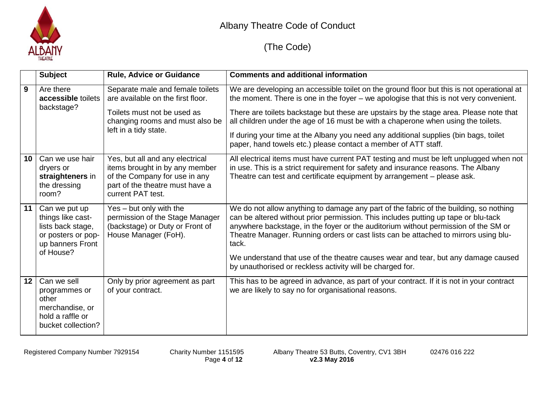

|    | <b>Subject</b>                                                                                                 | <b>Rule, Advice or Guidance</b>                                                                                                                                  | <b>Comments and additional information</b>                                                                                                                                                                                                                                                                                                                                                                                                                                                                                   |
|----|----------------------------------------------------------------------------------------------------------------|------------------------------------------------------------------------------------------------------------------------------------------------------------------|------------------------------------------------------------------------------------------------------------------------------------------------------------------------------------------------------------------------------------------------------------------------------------------------------------------------------------------------------------------------------------------------------------------------------------------------------------------------------------------------------------------------------|
| 9  | Are there<br>accessible toilets<br>backstage?                                                                  | Separate male and female toilets<br>are available on the first floor.<br>Toilets must not be used as<br>changing rooms and must also be<br>left in a tidy state. | We are developing an accessible toilet on the ground floor but this is not operational at<br>the moment. There is one in the foyer - we apologise that this is not very convenient.<br>There are toilets backstage but these are upstairs by the stage area. Please note that<br>all children under the age of 16 must be with a chaperone when using the toilets.<br>If during your time at the Albany you need any additional supplies (bin bags, toilet<br>paper, hand towels etc.) please contact a member of ATT staff. |
| 10 | Can we use hair<br>dryers or<br>straighteners in<br>the dressing<br>room?                                      | Yes, but all and any electrical<br>items brought in by any member<br>of the Company for use in any<br>part of the theatre must have a<br>current PAT test.       | All electrical items must have current PAT testing and must be left unplugged when not<br>in use. This is a strict requirement for safety and insurance reasons. The Albany<br>Theatre can test and certificate equipment by arrangement - please ask.                                                                                                                                                                                                                                                                       |
| 11 | Can we put up<br>things like cast-<br>lists back stage,<br>or posters or pop-<br>up banners Front<br>of House? | Yes - but only with the<br>permission of the Stage Manager<br>(backstage) or Duty or Front of<br>House Manager (FoH).                                            | We do not allow anything to damage any part of the fabric of the building, so nothing<br>can be altered without prior permission. This includes putting up tape or blu-tack<br>anywhere backstage, in the foyer or the auditorium without permission of the SM or<br>Theatre Manager. Running orders or cast lists can be attached to mirrors using blu-<br>tack.<br>We understand that use of the theatre causes wear and tear, but any damage caused<br>by unauthorised or reckless activity will be charged for.          |
| 12 | Can we sell<br>programmes or<br>other<br>merchandise, or<br>hold a raffle or<br>bucket collection?             | Only by prior agreement as part<br>of your contract.                                                                                                             | This has to be agreed in advance, as part of your contract. If it is not in your contract<br>we are likely to say no for organisational reasons.                                                                                                                                                                                                                                                                                                                                                                             |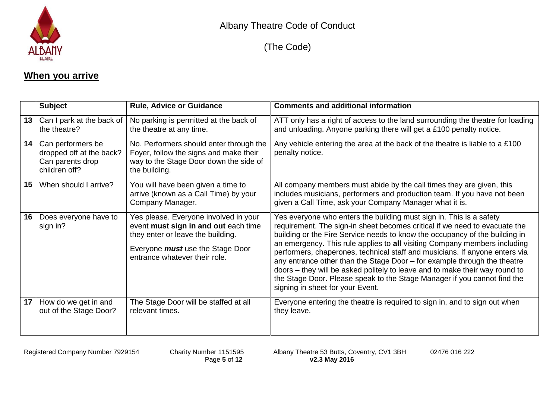

## **When you arrive**

|    | <b>Subject</b>                                                                     | <b>Rule, Advice or Guidance</b>                                                                                                                                                                | <b>Comments and additional information</b>                                                                                                                                                                                                                                                                                                                                                                                                                                                                                                                                                                                                                              |
|----|------------------------------------------------------------------------------------|------------------------------------------------------------------------------------------------------------------------------------------------------------------------------------------------|-------------------------------------------------------------------------------------------------------------------------------------------------------------------------------------------------------------------------------------------------------------------------------------------------------------------------------------------------------------------------------------------------------------------------------------------------------------------------------------------------------------------------------------------------------------------------------------------------------------------------------------------------------------------------|
| 13 | Can I park at the back of<br>the theatre?                                          | No parking is permitted at the back of<br>the theatre at any time.                                                                                                                             | ATT only has a right of access to the land surrounding the theatre for loading<br>and unloading. Anyone parking there will get a £100 penalty notice.                                                                                                                                                                                                                                                                                                                                                                                                                                                                                                                   |
| 14 | Can performers be<br>dropped off at the back?<br>Can parents drop<br>children off? | No. Performers should enter through the<br>Foyer, follow the signs and make their<br>way to the Stage Door down the side of<br>the building.                                                   | Any vehicle entering the area at the back of the theatre is liable to a £100<br>penalty notice.                                                                                                                                                                                                                                                                                                                                                                                                                                                                                                                                                                         |
| 15 | When should I arrive?                                                              | You will have been given a time to<br>arrive (known as a Call Time) by your<br>Company Manager.                                                                                                | All company members must abide by the call times they are given, this<br>includes musicians, performers and production team. If you have not been<br>given a Call Time, ask your Company Manager what it is.                                                                                                                                                                                                                                                                                                                                                                                                                                                            |
| 16 | Does everyone have to<br>sign in?                                                  | Yes please. Everyone involved in your<br>event must sign in and out each time<br>they enter or leave the building.<br>Everyone <i>must</i> use the Stage Door<br>entrance whatever their role. | Yes everyone who enters the building must sign in. This is a safety<br>requirement. The sign-in sheet becomes critical if we need to evacuate the<br>building or the Fire Service needs to know the occupancy of the building in<br>an emergency. This rule applies to all visiting Company members including<br>performers, chaperones, technical staff and musicians. If anyone enters via<br>any entrance other than the Stage Door – for example through the theatre<br>doors – they will be asked politely to leave and to make their way round to<br>the Stage Door. Please speak to the Stage Manager if you cannot find the<br>signing in sheet for your Event. |
| 17 | How do we get in and<br>out of the Stage Door?                                     | The Stage Door will be staffed at all<br>relevant times.                                                                                                                                       | Everyone entering the theatre is required to sign in, and to sign out when<br>they leave.                                                                                                                                                                                                                                                                                                                                                                                                                                                                                                                                                                               |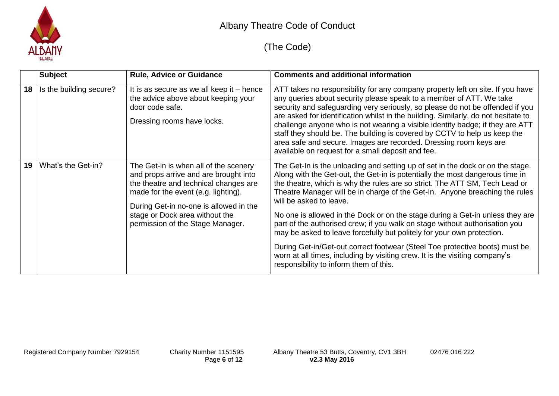

|    | <b>Subject</b>          | <b>Rule, Advice or Guidance</b>                                                                                                                                                                                                                                                | <b>Comments and additional information</b>                                                                                                                                                                                                                                                                                                                                                                                                                                                                                                                                                                                                                                                                                                                                                                |
|----|-------------------------|--------------------------------------------------------------------------------------------------------------------------------------------------------------------------------------------------------------------------------------------------------------------------------|-----------------------------------------------------------------------------------------------------------------------------------------------------------------------------------------------------------------------------------------------------------------------------------------------------------------------------------------------------------------------------------------------------------------------------------------------------------------------------------------------------------------------------------------------------------------------------------------------------------------------------------------------------------------------------------------------------------------------------------------------------------------------------------------------------------|
| 18 | Is the building secure? | It is as secure as we all keep it $-$ hence<br>the advice above about keeping your<br>door code safe.<br>Dressing rooms have locks.                                                                                                                                            | ATT takes no responsibility for any company property left on site. If you have<br>any queries about security please speak to a member of ATT. We take<br>security and safeguarding very seriously, so please do not be offended if you<br>are asked for identification whilst in the building. Similarly, do not hesitate to<br>challenge anyone who is not wearing a visible identity badge; if they are ATT<br>staff they should be. The building is covered by CCTV to help us keep the<br>area safe and secure. Images are recorded. Dressing room keys are<br>available on request for a small deposit and fee.                                                                                                                                                                                      |
| 19 | What's the Get-in?      | The Get-in is when all of the scenery<br>and props arrive and are brought into<br>the theatre and technical changes are<br>made for the event (e.g. lighting).<br>During Get-in no-one is allowed in the<br>stage or Dock area without the<br>permission of the Stage Manager. | The Get-In is the unloading and setting up of set in the dock or on the stage.<br>Along with the Get-out, the Get-in is potentially the most dangerous time in<br>the theatre, which is why the rules are so strict. The ATT SM, Tech Lead or<br>Theatre Manager will be in charge of the Get-In. Anyone breaching the rules<br>will be asked to leave.<br>No one is allowed in the Dock or on the stage during a Get-in unless they are<br>part of the authorised crew; if you walk on stage without authorisation you<br>may be asked to leave forcefully but politely for your own protection.<br>During Get-in/Get-out correct footwear (Steel Toe protective boots) must be<br>worn at all times, including by visiting crew. It is the visiting company's<br>responsibility to inform them of this. |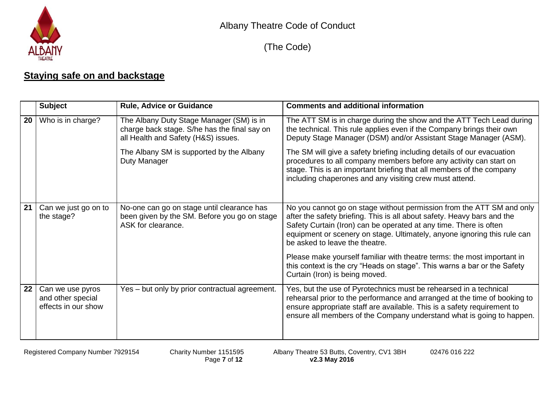

(The Code)

## **Staying safe on and backstage**

|    | <b>Subject</b>                                               | <b>Rule, Advice or Guidance</b>                                                                                                 | <b>Comments and additional information</b>                                                                                                                                                                                                                                                                                          |
|----|--------------------------------------------------------------|---------------------------------------------------------------------------------------------------------------------------------|-------------------------------------------------------------------------------------------------------------------------------------------------------------------------------------------------------------------------------------------------------------------------------------------------------------------------------------|
| 20 | Who is in charge?                                            | The Albany Duty Stage Manager (SM) is in<br>charge back stage. S/he has the final say on<br>all Health and Safety (H&S) issues. | The ATT SM is in charge during the show and the ATT Tech Lead during<br>the technical. This rule applies even if the Company brings their own<br>Deputy Stage Manager (DSM) and/or Assistant Stage Manager (ASM).                                                                                                                   |
|    |                                                              | The Albany SM is supported by the Albany<br>Duty Manager                                                                        | The SM will give a safety briefing including details of our evacuation<br>procedures to all company members before any activity can start on<br>stage. This is an important briefing that all members of the company<br>including chaperones and any visiting crew must attend.                                                     |
| 21 | Can we just go on to<br>the stage?                           | No-one can go on stage until clearance has<br>been given by the SM. Before you go on stage<br>ASK for clearance.                | No you cannot go on stage without permission from the ATT SM and only<br>after the safety briefing. This is all about safety. Heavy bars and the<br>Safety Curtain (Iron) can be operated at any time. There is often<br>equipment or scenery on stage. Ultimately, anyone ignoring this rule can<br>be asked to leave the theatre. |
|    |                                                              |                                                                                                                                 | Please make yourself familiar with theatre terms: the most important in<br>this context is the cry "Heads on stage". This warns a bar or the Safety<br>Curtain (Iron) is being moved.                                                                                                                                               |
| 22 | Can we use pyros<br>and other special<br>effects in our show | Yes - but only by prior contractual agreement.                                                                                  | Yes, but the use of Pyrotechnics must be rehearsed in a technical<br>rehearsal prior to the performance and arranged at the time of booking to<br>ensure appropriate staff are available. This is a safety requirement to<br>ensure all members of the Company understand what is going to happen.                                  |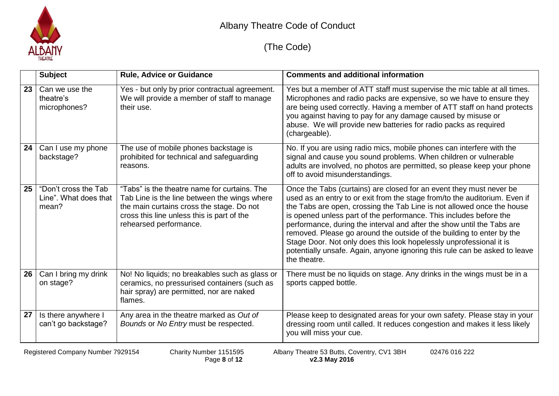

|    | <b>Subject</b>                                         | <b>Rule, Advice or Guidance</b>                                                                                                                                                                                   | <b>Comments and additional information</b>                                                                                                                                                                                                                                                                                                                                                                                                                                                                                                                                                                                |
|----|--------------------------------------------------------|-------------------------------------------------------------------------------------------------------------------------------------------------------------------------------------------------------------------|---------------------------------------------------------------------------------------------------------------------------------------------------------------------------------------------------------------------------------------------------------------------------------------------------------------------------------------------------------------------------------------------------------------------------------------------------------------------------------------------------------------------------------------------------------------------------------------------------------------------------|
| 23 | Can we use the<br>theatre's<br>microphones?            | Yes - but only by prior contractual agreement.<br>We will provide a member of staff to manage<br>their use.                                                                                                       | Yes but a member of ATT staff must supervise the mic table at all times.<br>Microphones and radio packs are expensive, so we have to ensure they<br>are being used correctly. Having a member of ATT staff on hand protects<br>you against having to pay for any damage caused by misuse or<br>abuse. We will provide new batteries for radio packs as required<br>(chargeable).                                                                                                                                                                                                                                          |
| 24 | Can I use my phone<br>backstage?                       | The use of mobile phones backstage is<br>prohibited for technical and safeguarding<br>reasons.                                                                                                                    | No. If you are using radio mics, mobile phones can interfere with the<br>signal and cause you sound problems. When children or vulnerable<br>adults are involved, no photos are permitted, so please keep your phone<br>off to avoid misunderstandings.                                                                                                                                                                                                                                                                                                                                                                   |
| 25 | "Don't cross the Tab<br>Line". What does that<br>mean? | "Tabs" is the theatre name for curtains. The<br>Tab Line is the line between the wings where<br>the main curtains cross the stage. Do not<br>cross this line unless this is part of the<br>rehearsed performance. | Once the Tabs (curtains) are closed for an event they must never be<br>used as an entry to or exit from the stage from/to the auditorium. Even if<br>the Tabs are open, crossing the Tab Line is not allowed once the house<br>is opened unless part of the performance. This includes before the<br>performance, during the interval and after the show until the Tabs are<br>removed. Please go around the outside of the building to enter by the<br>Stage Door. Not only does this look hopelessly unprofessional it is<br>potentially unsafe. Again, anyone ignoring this rule can be asked to leave<br>the theatre. |
| 26 | Can I bring my drink<br>on stage?                      | No! No liquids; no breakables such as glass or<br>ceramics, no pressurised containers (such as<br>hair spray) are permitted, nor are naked<br>flames.                                                             | There must be no liquids on stage. Any drinks in the wings must be in a<br>sports capped bottle.                                                                                                                                                                                                                                                                                                                                                                                                                                                                                                                          |
| 27 | Is there anywhere I<br>can't go backstage?             | Any area in the theatre marked as Out of<br>Bounds or No Entry must be respected.                                                                                                                                 | Please keep to designated areas for your own safety. Please stay in your<br>dressing room until called. It reduces congestion and makes it less likely<br>you will miss your cue.                                                                                                                                                                                                                                                                                                                                                                                                                                         |
|    | Registered Company Number 7929154                      | Charity Number 1151595                                                                                                                                                                                            | Albany Theatre 53 Butts, Coventry, CV1 3BH<br>02476 016 222                                                                                                                                                                                                                                                                                                                                                                                                                                                                                                                                                               |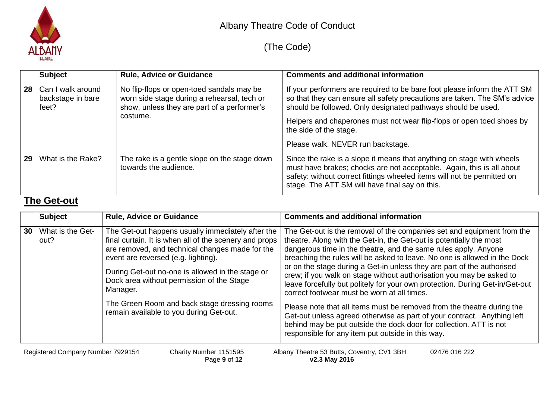

# (The Code)

|    | <b>Subject</b>                                  | <b>Rule, Advice or Guidance</b>                                                                                                                     | <b>Comments and additional information</b>                                                                                                                                                                                                                                                                                                                    |
|----|-------------------------------------------------|-----------------------------------------------------------------------------------------------------------------------------------------------------|---------------------------------------------------------------------------------------------------------------------------------------------------------------------------------------------------------------------------------------------------------------------------------------------------------------------------------------------------------------|
| 28 | Can I walk around<br>backstage in bare<br>feet? | No flip-flops or open-toed sandals may be<br>worn side stage during a rehearsal, tech or<br>show, unless they are part of a performer's<br>costume. | If your performers are required to be bare foot please inform the ATT SM<br>so that they can ensure all safety precautions are taken. The SM's advice<br>should be followed. Only designated pathways should be used.<br>Helpers and chaperones must not wear flip-flops or open toed shoes by<br>the side of the stage.<br>Please walk. NEVER run backstage. |
| 29 | What is the Rake?                               | The rake is a gentle slope on the stage down<br>towards the audience.                                                                               | Since the rake is a slope it means that anything on stage with wheels<br>must have brakes; chocks are not acceptable. Again, this is all about<br>safety: without correct fittings wheeled items will not be permitted on<br>stage. The ATT SM will have final say on this.                                                                                   |

#### **The Get-out**

|    | <b>Subject</b>                                                                                                                                              | <b>Rule, Advice or Guidance</b>                                                                                                                                                                                                                                                                                                                                                                               | <b>Comments and additional information</b>                                                                                                                                                                                                                                                                                                                                                                                                                                                                                                                                                                                                                                                                                                                                                                                                                     |  |
|----|-------------------------------------------------------------------------------------------------------------------------------------------------------------|---------------------------------------------------------------------------------------------------------------------------------------------------------------------------------------------------------------------------------------------------------------------------------------------------------------------------------------------------------------------------------------------------------------|----------------------------------------------------------------------------------------------------------------------------------------------------------------------------------------------------------------------------------------------------------------------------------------------------------------------------------------------------------------------------------------------------------------------------------------------------------------------------------------------------------------------------------------------------------------------------------------------------------------------------------------------------------------------------------------------------------------------------------------------------------------------------------------------------------------------------------------------------------------|--|
| 30 | What is the Get-<br>out?                                                                                                                                    | The Get-out happens usually immediately after the<br>final curtain. It is when all of the scenery and props<br>are removed, and technical changes made for the<br>event are reversed (e.g. lighting).<br>During Get-out no-one is allowed in the stage or<br>Dock area without permission of the Stage<br>Manager.<br>The Green Room and back stage dressing rooms<br>remain available to you during Get-out. | The Get-out is the removal of the companies set and equipment from the<br>theatre. Along with the Get-in, the Get-out is potentially the most<br>dangerous time in the theatre, and the same rules apply. Anyone<br>breaching the rules will be asked to leave. No one is allowed in the Dock<br>or on the stage during a Get-in unless they are part of the authorised<br>crew; if you walk on stage without authorisation you may be asked to<br>leave forcefully but politely for your own protection. During Get-in/Get-out<br>correct footwear must be worn at all times.<br>Please note that all items must be removed from the theatre during the<br>Get-out unless agreed otherwise as part of your contract. Anything left<br>behind may be put outside the dock door for collection. ATT is not<br>responsible for any item put outside in this way. |  |
|    | Registered Company Number 7929154<br>Albany Theatre 53 Butts, Coventry, CV1 3BH<br>Charity Number 1151595<br>02476 016 222<br>v2.3 May 2016<br>Page 9 of 12 |                                                                                                                                                                                                                                                                                                                                                                                                               |                                                                                                                                                                                                                                                                                                                                                                                                                                                                                                                                                                                                                                                                                                                                                                                                                                                                |  |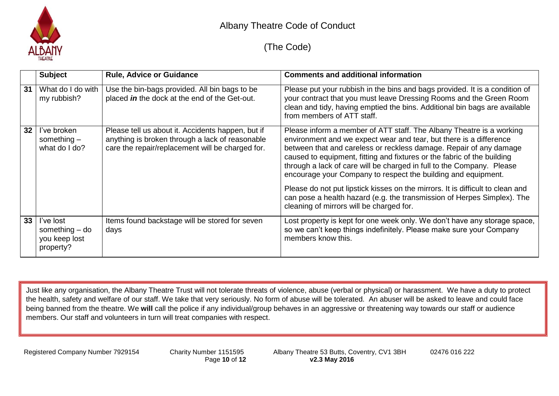

### (The Code)

|    | <b>Subject</b>                                              | <b>Rule, Advice or Guidance</b>                                                                                                                          | <b>Comments and additional information</b>                                                                                                                                                                                                                                                                                                                                                                                                                                                                                                                                                                                                     |
|----|-------------------------------------------------------------|----------------------------------------------------------------------------------------------------------------------------------------------------------|------------------------------------------------------------------------------------------------------------------------------------------------------------------------------------------------------------------------------------------------------------------------------------------------------------------------------------------------------------------------------------------------------------------------------------------------------------------------------------------------------------------------------------------------------------------------------------------------------------------------------------------------|
| 31 | What do I do with<br>my rubbish?                            | Use the bin-bags provided. All bin bags to be<br>placed in the dock at the end of the Get-out.                                                           | Please put your rubbish in the bins and bags provided. It is a condition of<br>your contract that you must leave Dressing Rooms and the Green Room<br>clean and tidy, having emptied the bins. Additional bin bags are available<br>from members of ATT staff.                                                                                                                                                                                                                                                                                                                                                                                 |
| 32 | I've broken<br>something $-$<br>what do I do?               | Please tell us about it. Accidents happen, but if<br>anything is broken through a lack of reasonable<br>care the repair/replacement will be charged for. | Please inform a member of ATT staff. The Albany Theatre is a working<br>environment and we expect wear and tear, but there is a difference<br>between that and careless or reckless damage. Repair of any damage<br>caused to equipment, fitting and fixtures or the fabric of the building<br>through a lack of care will be charged in full to the Company. Please<br>encourage your Company to respect the building and equipment.<br>Please do not put lipstick kisses on the mirrors. It is difficult to clean and<br>can pose a health hazard (e.g. the transmission of Herpes Simplex). The<br>cleaning of mirrors will be charged for. |
| 33 | I've lost<br>something $-$ do<br>you keep lost<br>property? | Items found backstage will be stored for seven<br>days                                                                                                   | Lost property is kept for one week only. We don't have any storage space,<br>so we can't keep things indefinitely. Please make sure your Company<br>members know this.                                                                                                                                                                                                                                                                                                                                                                                                                                                                         |

Just like any organisation, the Albany Theatre Trust will not tolerate threats of violence, abuse (verbal or physical) or harassment. We have a duty to protect the health, safety and welfare of our staff. We take that very seriously. No form of abuse will be tolerated. An abuser will be asked to leave and could face being banned from the theatre. We **will** call the police if any individual/group behaves in an aggressive or threatening way towards our staff or audience members. Our staff and volunteers in turn will treat companies with respect.

Registered Company Number 7929154 Charity Number 1151595 Albany Theatre 53 Butts, Coventry, CV1 3BH 02476 016 222 Page **10** of **12 v2.3 May 2016**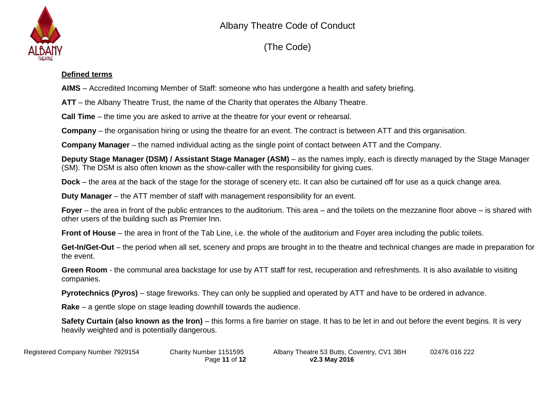

(The Code)

#### **Defined terms**

**AIMS** – Accredited Incoming Member of Staff: someone who has undergone a health and safety briefing.

**ATT** – the Albany Theatre Trust, the name of the Charity that operates the Albany Theatre.

**Call Time** – the time you are asked to arrive at the theatre for your event or rehearsal.

**Company** – the organisation hiring or using the theatre for an event. The contract is between ATT and this organisation.

**Company Manager** – the named individual acting as the single point of contact between ATT and the Company.

**Deputy Stage Manager (DSM) / Assistant Stage Manager (ASM)** – as the names imply, each is directly managed by the Stage Manager (SM). The DSM is also often known as the show-caller with the responsibility for giving cues.

**Dock** – the area at the back of the stage for the storage of scenery etc. It can also be curtained off for use as a quick change area.

**Duty Manager** – the ATT member of staff with management responsibility for an event.

**Foyer** – the area in front of the public entrances to the auditorium. This area – and the toilets on the mezzanine floor above – is shared with other users of the building such as Premier Inn.

**Front of House** – the area in front of the Tab Line, i.e. the whole of the auditorium and Foyer area including the public toilets.

**Get-In/Get-Out** – the period when all set, scenery and props are brought in to the theatre and technical changes are made in preparation for the event.

**Green Room** - the communal area backstage for use by ATT staff for rest, recuperation and refreshments. It is also available to visiting companies.

**Pyrotechnics (Pyros)** – stage fireworks. They can only be supplied and operated by ATT and have to be ordered in advance.

**Rake** – a gentle slope on stage leading downhill towards the audience.

**Safety Curtain (also known as the Iron)** – this forms a fire barrier on stage. It has to be let in and out before the event begins. It is very heavily weighted and is potentially dangerous.

Registered Company Number 7929154 Charity Number 1151595 Albany Theatre 53 Butts, Coventry, CV1 3BH 02476 016 222 Page **11** of **12 v2.3 May 2016**